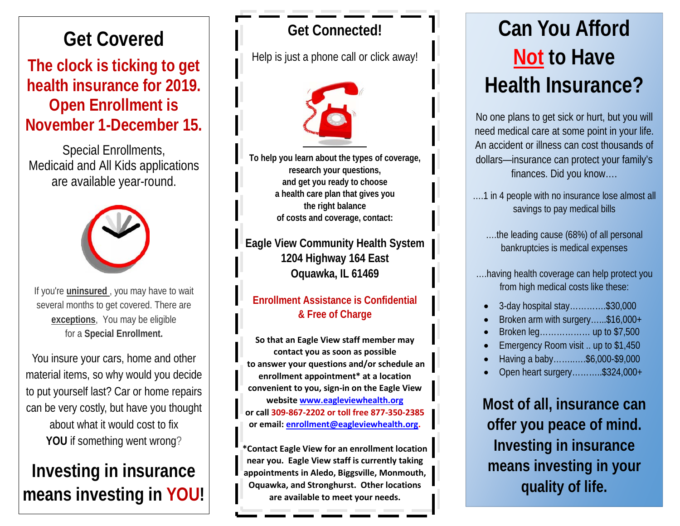# **Get Covered**

# **The clock is ticking to get health insurance for 2019. Open Enrollment is November 1-December 15.**

Special Enrollments, Medicaid and All Kids applications are available year-round.



If you're **uninsured** , you may have to wait several months to get covered. There are **[exceptions](http://shopgetcovered.insurexsolutions.com/deadlineil/clkn/http/www.hr.mnscu.edu/insurance/documents/Qualifying_Life_Even.pdf)**, You may be eligible for a **Special Enrollment.**

You insure your cars, home and other material items, so why would you decide to put yourself last? Car or home repairs can be very costly, but have you thought about what it would cost to fix YOU if something went wrong?

# **Investing in insurance means investing in YOU!**

## **Get Connected!**

Help is just a phone call or click away!



**To help you learn about the types of coverage, research your questions, and get you ready to choose a health care plan that gives you the right balance of costs and coverage, contact:**

**Eagle View Community Health System 1204 Highway 164 East Oquawka, IL 61469**

#### **Enrollment Assistance is Confidential & Free of Charge**

**So that an Eagle View staff member may contact you as soon as possible to answer your questions and/or schedule an enrollment appointment\* at a location convenient to you, sign-in on the Eagle View website [www.eagleviewhealth.org](http://www.eagleviewhealth.org/)  or call 309-867-2202 or toll free 877-350-2385 or email: [enrollment@eagleviewhealth.org.](mailto:enrollment@eagleviewhealth.org)**

**\*Contact Eagle View for an enrollment location near you. Eagle View staff is currently taking appointments in Aledo, Biggsville, Monmouth, Oquawka, and Stronghurst. Other locations are available to meet your needs.**

# **Can You Afford Not to Have Health Insurance?**

No one plans to get sick or hurt, but you will need medical care at some point in your life. An accident or illness can cost thousands of dollars—insurance can protect your family's finances. Did you know….

….1 in 4 people with no insurance lose almost all savings to pay medical bills

….the leading cause (68%) of all personal bankruptcies is medical expenses

….having health coverage can help protect you from high medical costs like these:

- 3-day hospital stay………….\$30,000
- Broken arm with surgery…...\$16,000+
- Broken leg……………… up to \$7,500
- Emergency Room visit .. up to \$1,450
- Having a baby……..….\$6,000-\$9,000
- Open heart surgery………..\$324,000+

**Most of all, insurance can offer you peace of mind. Investing in insurance means investing in your quality of life.**